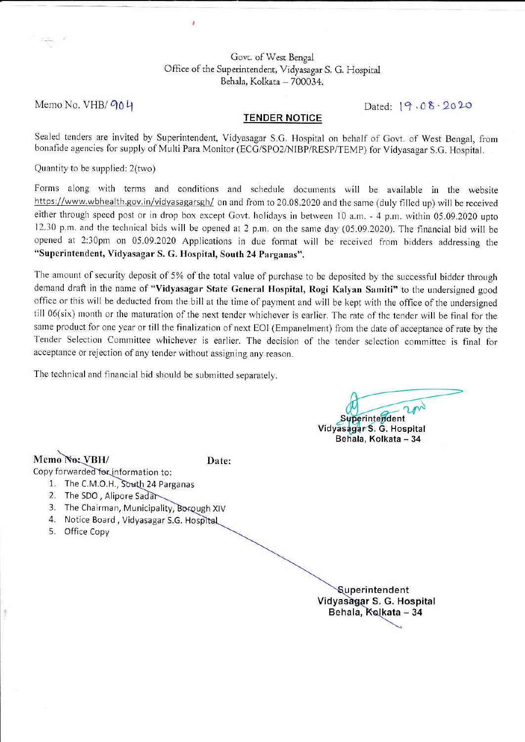## Govt. of West Bengal Office of the Superintendent, Vidyasagar S. G. Hospital Behala, Kolkata - 700034.

Memo No. VHB/ 904

Dated:  $19.08.2020$ 

## **TENDER NOTICE**

Sealed tenders are invited by Superintendent, Vidyasagar S.G. Hospital on behalf of Govt. of West Bengal, from bonafide agencies for supply of Multi Para Monitor (ECG/SPO2/NIBP/RESP/TEMP) for Vidyasagar S.G. Hospital.

Quantity to be supplied: 2(two)

Forms along with terms and conditions and schedule documents will be available in the website https://www.wbhealth.gov.in/vidyasagarsgh/ on and from to 20.08.2020 and the same (duly filled up) will be received either through speed post or in drop box except Govt. holidays in between 10 a.m. - 4 p.m. within 05.09.2020 upto 12.30 p.m. and the technical bids will be opened at 2 p.m. on the same day (05.09.2020). The financial bid will be opened at 2:30pm on 05.09.2020 Applications in due format will be received from bidders addressing the "Superintendent, Vidyasagar S. G. Hospital, South 24 Parganas".

The amount of security deposit of 5% of the total value of purchase to be deposited by the successful bidder through demand draft in the name of "Vidyasagar State General Hospital, Rogi Kalyan Samiti" to the undersigned good office or this will be deducted from the bill at the time of payment and will be kept with the office of the undersigned till 06(six) month or the maturation of the next tender whichever is earlier. The rate of the tender will be final for the same product for one year or till the finalization of next EOI (Empanelment) from the date of acceptance of rate by the Tender Selection Committee whichever is earlier. The decision of the tender selection committee is final for acceptance or rejection of any tender without assigning any reason.

The technical and financial bid should be submitted separately.

Superintendent Vidyasagar S. G. Hospital Behala, Kolkata - 34

Memo No: VBH/

Date:

Copy forwarded for information to:

- 1. The C.M.O.H., South 24 Parganas
- 2. The SDO, Alipore Sadar
- 3. The Chairman, Municipality, Borough XIV
- 4. Notice Board, Vidyasagar S.G. Hospital
- 5. Office Copy

Superintendent Vidyasagar S. G. Hospital Behala, Kolkata - 34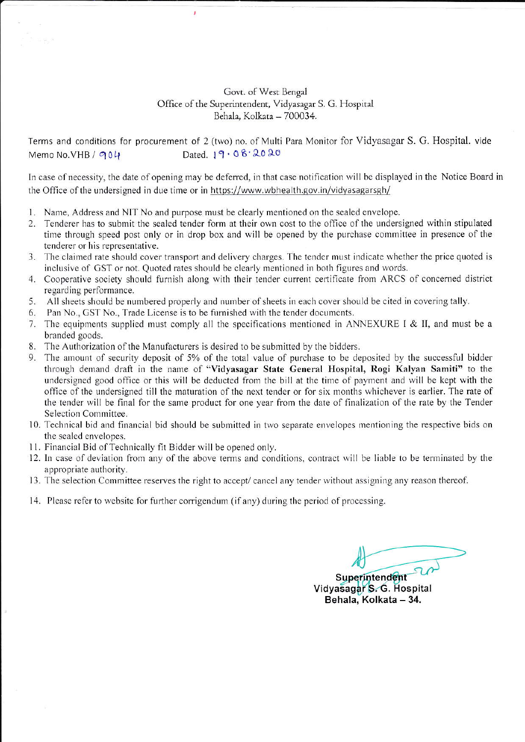## Govt. of West Bengal Office of the Superintendent, Vidyasagar S. G. Hospital Behala, Kolkata - 700034.

Terms and conditions for procurement of 2 (two) no. of Multi Para Monitor for Vidyasagar S. G. Hospital. vide Memo No. VHB / 904 Dated.  $19.08.2020$ 

In case of necessity, the date of opening may be deferred, in that case notification will be displayed in the Notice Board in the Office of the undersigned in due time or in https://www.wbhealth.gov.in/vidyasagarsgh/

1. Name, Address and NIT No and purpose must be clearly mentioned on the sealed envelope.

J

- 2. Tenderer has to submit the sealed tender form at their own cost to the office of the undersigned within stipulated time through speed post only or in drop box and will be opened by the purchase committee in presence of the tenderer or his representative.
- 3. The claimed rate should cover transport and delivery charges. The tender must indicate whether the price quoted is inclusive of GST or not. Quoted rates should be clearly mentioned in both figures and words.
- 4. Cooperative society should furnish along with their tender current certificate from ARCS of concerned district regarding performance.
- 5. All sheets should be numbered properly and number of sheets in each cover should be cited in covering tally.
- 6. Pan No., GST No., Trade License is to be furnished with the tender documents.
- 7. The equipments supplied must comply all the specifications mentioned in ANNEXURE I & II, and must be a branded goods.
- 8. The Authorization of the Manufacturers is desired to be submitted by the bidders.
- 9. The amount of security deposit of 5% of the total value of purchase to be deposited by the successful bidder through demand draft in the name of "Vidyasagar State General Hospital, Rogi Kalyan Samiti" to the undersigned good office or this will be deducted from the bill at the time of payment and will be kept with the office of the undersigned till the maturation of the next tender or for six months whichever is earlier. The rate of the tender will be final for the same product for one year from the date of finalization of the rate by the Tender Selection Committee.
- 10. Technical bid and financial bid should be submitted in two separate envelopes mentioning the respective bids on the sealed envelopes.
- 11. Financial Bid of Technically fit Bidder will be opened only.
- 12. In case of deviation from any of the above terms and conditions, contract will be liable to be terminated by the appropriate authority.
- 13. The selection Committee reserves the right to accept/ cancel any tender without assigning any reason thereof.
- 14. Please refer to website for further corrigendum (if any) during the period of processing.

Superintendent Vidyasagar S. G. Hospital Behala, Kolkata - 34.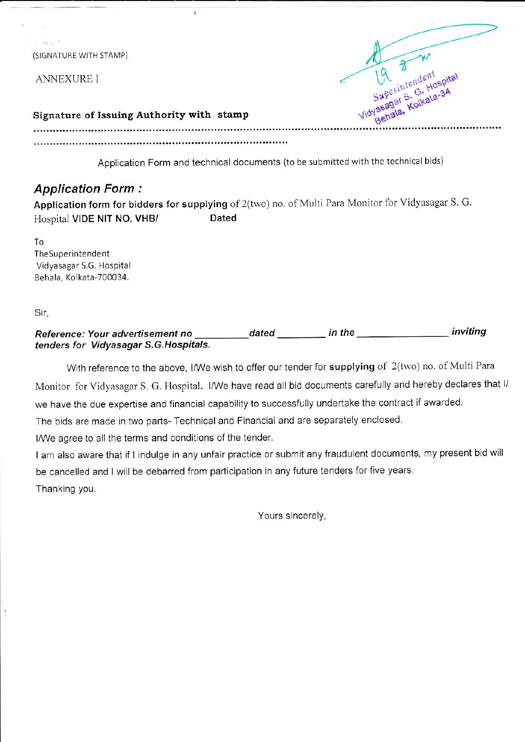(SIGNATURE WITH STAMP)

**ANNEXURE I** 



## Signature of Issuing Authority with stamp

J.

Application Form and technical documents (to be submitted with the technical bids)

# **Application Form:**

Application form for bidders for supplying of 2(two) no. of Multi Para Monitor for Vidyasagar S. G. Hospital VIDE NIT NO. VHB/ Dated

To TheSuperintendent Vidyasagar S.G. Hospital Behala, Kolkata-700034.

Sir,

#### inviting dated **distribution** in the Reference: Your advertisement no tenders for Vidyasagar S.G. Hospitals.

With reference to the above, I/We wish to offer our tender for supplying of 2(two) no. of Multi Para Monitor for Vidyasagar S. G. Hospital. I/We have read all bid documents carefully and hereby declares that I/ we have the due expertise and financial capability to successfully undertake the contract if awarded. The bids are made in two parts- Technical and Financial and are separately enclosed.

I/We agree to all the terms and conditions of the tender.

I am also aware that if I indulge in any unfair practice or submit any fraudulent documents, my present bid will be cancelled and I will be debarred from participation in any future tenders for five years. Thanking you.

Yours sincerely,